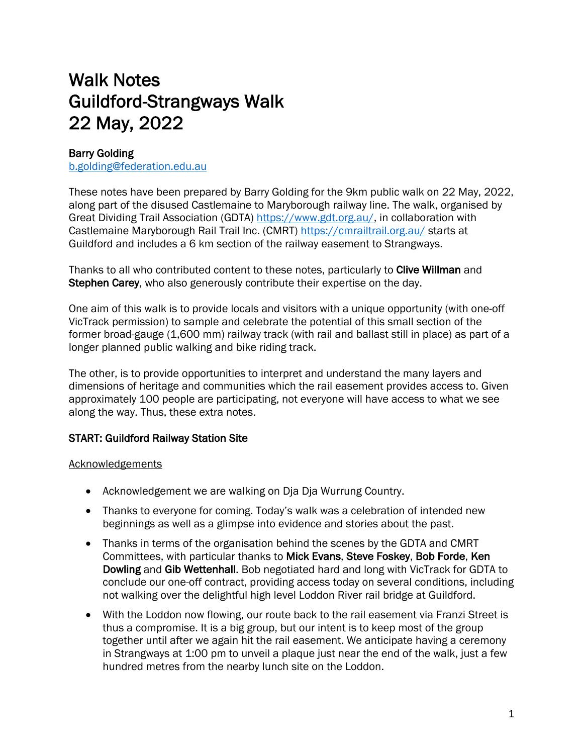# Walk Notes Guildford-Strangways Walk 22 May, 2022

# Barry Golding

b.golding@federation.edu.au

These notes have been prepared by Barry Golding for the 9km public walk on 22 May, 2022, along part of the disused Castlemaine to Maryborough railway line. The walk, organised by Great Dividing Trail Association (GDTA) https://www.gdt.org.au/, in collaboration with Castlemaine Maryborough Rail Trail Inc. (CMRT) https://cmrailtrail.org.au/ starts at Guildford and includes a 6 km section of the railway easement to Strangways.

Thanks to all who contributed content to these notes, particularly to Clive Willman and Stephen Carey, who also generously contribute their expertise on the day.

One aim of this walk is to provide locals and visitors with a unique opportunity (with one-off VicTrack permission) to sample and celebrate the potential of this small section of the former broad-gauge (1,600 mm) railway track (with rail and ballast still in place) as part of a longer planned public walking and bike riding track.

The other, is to provide opportunities to interpret and understand the many layers and dimensions of heritage and communities which the rail easement provides access to. Given approximately 100 people are participating, not everyone will have access to what we see along the way. Thus, these extra notes.

# START: Guildford Railway Station Site

## Acknowledgements

- Acknowledgement we are walking on Dja Dja Wurrung Country.
- Thanks to everyone for coming. Today's walk was a celebration of intended new beginnings as well as a glimpse into evidence and stories about the past.
- Thanks in terms of the organisation behind the scenes by the GDTA and CMRT Committees, with particular thanks to Mick Evans, Steve Foskey, Bob Forde, Ken Dowling and Gib Wettenhall. Bob negotiated hard and long with VicTrack for GDTA to conclude our one-off contract, providing access today on several conditions, including not walking over the delightful high level Loddon River rail bridge at Guildford.
- With the Loddon now flowing, our route back to the rail easement via Franzi Street is thus a compromise. It is a big group, but our intent is to keep most of the group together until after we again hit the rail easement. We anticipate having a ceremony in Strangways at 1:00 pm to unveil a plaque just near the end of the walk, just a few hundred metres from the nearby lunch site on the Loddon.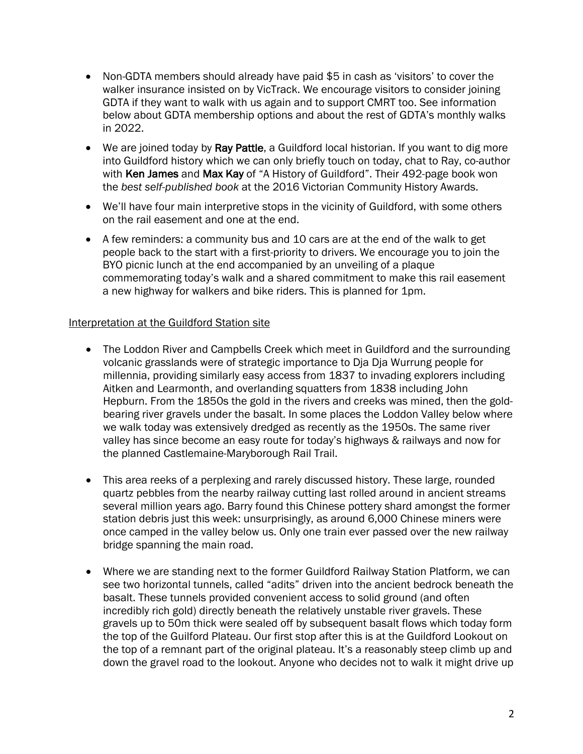- Non-GDTA members should already have paid \$5 in cash as 'visitors' to cover the walker insurance insisted on by VicTrack. We encourage visitors to consider joining GDTA if they want to walk with us again and to support CMRT too. See information below about GDTA membership options and about the rest of GDTA's monthly walks in 2022.
- We are joined today by Ray Pattle, a Guildford local historian. If you want to dig more into Guildford history which we can only briefly touch on today, chat to Ray, co-author with Ken James and Max Kay of "A History of Guildford". Their 492-page book won the *best self-published book* at the 2016 Victorian Community History Awards.
- We'll have four main interpretive stops in the vicinity of Guildford, with some others on the rail easement and one at the end.
- A few reminders: a community bus and 10 cars are at the end of the walk to get people back to the start with a first-priority to drivers. We encourage you to join the BYO picnic lunch at the end accompanied by an unveiling of a plaque commemorating today's walk and a shared commitment to make this rail easement a new highway for walkers and bike riders. This is planned for 1pm.

#### Interpretation at the Guildford Station site

- The Loddon River and Campbells Creek which meet in Guildford and the surrounding volcanic grasslands were of strategic importance to Dja Dja Wurrung people for millennia, providing similarly easy access from 1837 to invading explorers including Aitken and Learmonth, and overlanding squatters from 1838 including John Hepburn. From the 1850s the gold in the rivers and creeks was mined, then the goldbearing river gravels under the basalt. In some places the Loddon Valley below where we walk today was extensively dredged as recently as the 1950s. The same river valley has since become an easy route for today's highways & railways and now for the planned Castlemaine-Maryborough Rail Trail.
- This area reeks of a perplexing and rarely discussed history. These large, rounded quartz pebbles from the nearby railway cutting last rolled around in ancient streams several million years ago. Barry found this Chinese pottery shard amongst the former station debris just this week: unsurprisingly, as around 6,000 Chinese miners were once camped in the valley below us. Only one train ever passed over the new railway bridge spanning the main road.
- Where we are standing next to the former Guildford Railway Station Platform, we can see two horizontal tunnels, called "adits" driven into the ancient bedrock beneath the basalt. These tunnels provided convenient access to solid ground (and often incredibly rich gold) directly beneath the relatively unstable river gravels. These gravels up to 50m thick were sealed off by subsequent basalt flows which today form the top of the Guilford Plateau. Our first stop after this is at the Guildford Lookout on the top of a remnant part of the original plateau. It's a reasonably steep climb up and down the gravel road to the lookout. Anyone who decides not to walk it might drive up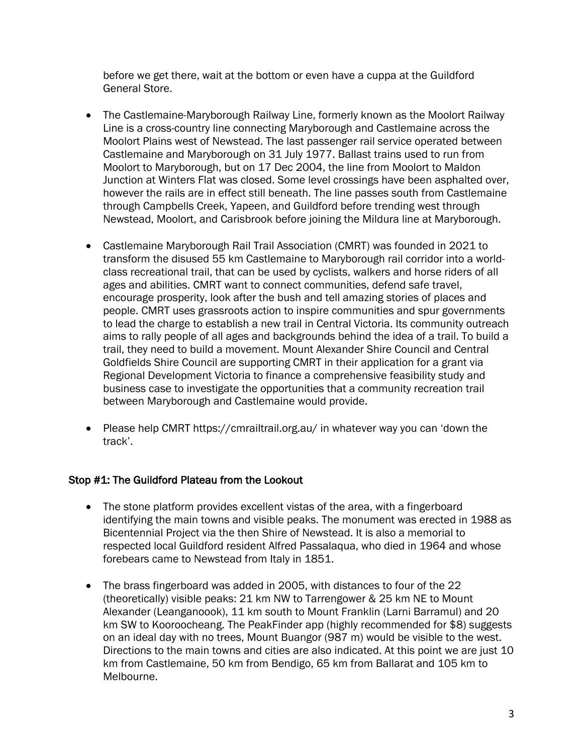before we get there, wait at the bottom or even have a cuppa at the Guildford General Store.

- The Castlemaine-Maryborough Railway Line, formerly known as the Moolort Railway Line is a cross-country line connecting Maryborough and Castlemaine across the Moolort Plains west of Newstead. The last passenger rail service operated between Castlemaine and Maryborough on 31 July 1977. Ballast trains used to run from Moolort to Maryborough, but on 17 Dec 2004, the line from Moolort to Maldon Junction at Winters Flat was closed. Some level crossings have been asphalted over, however the rails are in effect still beneath. The line passes south from Castlemaine through Campbells Creek, Yapeen, and Guildford before trending west through Newstead, Moolort, and Carisbrook before joining the Mildura line at Maryborough.
- Castlemaine Maryborough Rail Trail Association (CMRT) was founded in 2021 to transform the disused 55 km Castlemaine to Maryborough rail corridor into a worldclass recreational trail, that can be used by cyclists, walkers and horse riders of all ages and abilities. CMRT want to connect communities, defend safe travel, encourage prosperity, look after the bush and tell amazing stories of places and people. CMRT uses grassroots action to inspire communities and spur governments to lead the charge to establish a new trail in Central Victoria. Its community outreach aims to rally people of all ages and backgrounds behind the idea of a trail. To build a trail, they need to build a movement. Mount Alexander Shire Council and Central Goldfields Shire Council are supporting CMRT in their application for a grant via Regional Development Victoria to finance a comprehensive feasibility study and business case to investigate the opportunities that a community recreation trail between Maryborough and Castlemaine would provide.
- Please help CMRT https://cmrailtrail.org.au/ in whatever way you can 'down the track'.

## Stop #1: The Guildford Plateau from the Lookout

- The stone platform provides excellent vistas of the area, with a fingerboard identifying the main towns and visible peaks. The monument was erected in 1988 as Bicentennial Project via the then Shire of Newstead. It is also a memorial to respected local Guildford resident Alfred Passalaqua, who died in 1964 and whose forebears came to Newstead from Italy in 1851.
- The brass fingerboard was added in 2005, with distances to four of the 22 (theoretically) visible peaks: 21 km NW to Tarrengower & 25 km NE to Mount Alexander (Leanganoook), 11 km south to Mount Franklin (Larni Barramul) and 20 km SW to Kooroocheang. The PeakFinder app (highly recommended for \$8) suggests on an ideal day with no trees, Mount Buangor (987 m) would be visible to the west. Directions to the main towns and cities are also indicated. At this point we are just 10 km from Castlemaine, 50 km from Bendigo, 65 km from Ballarat and 105 km to Melbourne.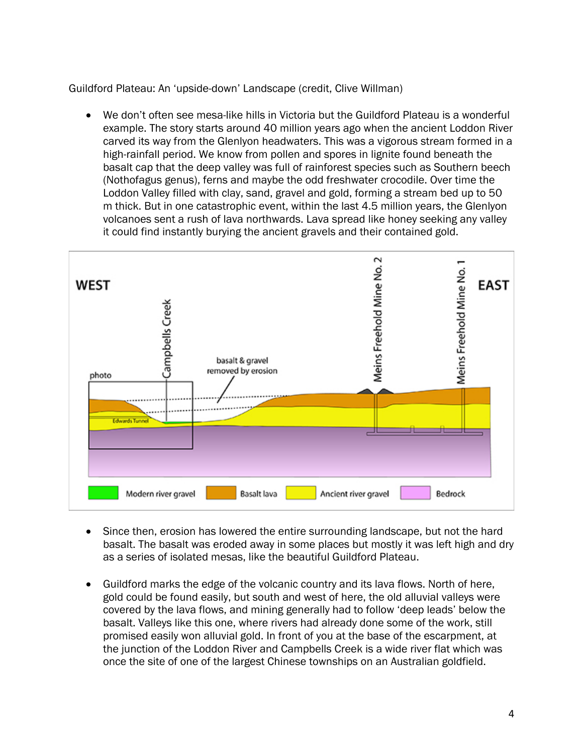Guildford Plateau: An 'upside-down' Landscape (credit, Clive Willman)

• We don't often see mesa-like hills in Victoria but the Guildford Plateau is a wonderful example. The story starts around 40 million years ago when the ancient Loddon River carved its way from the Glenlyon headwaters. This was a vigorous stream formed in a high-rainfall period. We know from pollen and spores in lignite found beneath the basalt cap that the deep valley was full of rainforest species such as Southern beech (Nothofagus genus), ferns and maybe the odd freshwater crocodile. Over time the Loddon Valley filled with clay, sand, gravel and gold, forming a stream bed up to 50 m thick. But in one catastrophic event, within the last 4.5 million years, the Glenlyon volcanoes sent a rush of lava northwards. Lava spread like honey seeking any valley it could find instantly burying the ancient gravels and their contained gold.



- Since then, erosion has lowered the entire surrounding landscape, but not the hard basalt. The basalt was eroded away in some places but mostly it was left high and dry as a series of isolated mesas, like the beautiful Guildford Plateau.
- Guildford marks the edge of the volcanic country and its lava flows. North of here, gold could be found easily, but south and west of here, the old alluvial valleys were covered by the lava flows, and mining generally had to follow 'deep leads' below the basalt. Valleys like this one, where rivers had already done some of the work, still promised easily won alluvial gold. In front of you at the base of the escarpment, at the junction of the Loddon River and Campbells Creek is a wide river flat which was once the site of one of the largest Chinese townships on an Australian goldfield.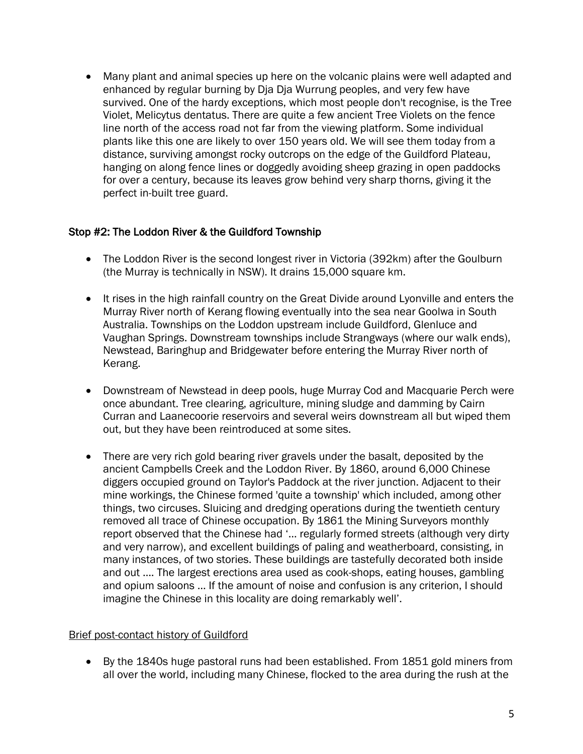• Many plant and animal species up here on the volcanic plains were well adapted and enhanced by regular burning by Dja Dja Wurrung peoples, and very few have survived. One of the hardy exceptions, which most people don't recognise, is the Tree Violet, Melicytus dentatus. There are quite a few ancient Tree Violets on the fence line north of the access road not far from the viewing platform. Some individual plants like this one are likely to over 150 years old. We will see them today from a distance, surviving amongst rocky outcrops on the edge of the Guildford Plateau, hanging on along fence lines or doggedly avoiding sheep grazing in open paddocks for over a century, because its leaves grow behind very sharp thorns, giving it the perfect in-built tree guard.

# Stop #2: The Loddon River & the Guildford Township

- The Loddon River is the second longest river in Victoria (392km) after the Goulburn (the Murray is technically in NSW). It drains 15,000 square km.
- It rises in the high rainfall country on the Great Divide around Lyonville and enters the Murray River north of Kerang flowing eventually into the sea near Goolwa in South Australia. Townships on the Loddon upstream include Guildford, Glenluce and Vaughan Springs. Downstream townships include Strangways (where our walk ends), Newstead, Baringhup and Bridgewater before entering the Murray River north of Kerang.
- Downstream of Newstead in deep pools, huge Murray Cod and Macquarie Perch were once abundant. Tree clearing, agriculture, mining sludge and damming by Cairn Curran and Laanecoorie reservoirs and several weirs downstream all but wiped them out, but they have been reintroduced at some sites.
- There are very rich gold bearing river gravels under the basalt, deposited by the ancient Campbells Creek and the Loddon River. By 1860, around 6,000 Chinese diggers occupied ground on Taylor's Paddock at the river junction. Adjacent to their mine workings, the Chinese formed 'quite a township' which included, among other things, two circuses. Sluicing and dredging operations during the twentieth century removed all trace of Chinese occupation. By 1861 the Mining Surveyors monthly report observed that the Chinese had '… regularly formed streets (although very dirty and very narrow), and excellent buildings of paling and weatherboard, consisting, in many instances, of two stories. These buildings are tastefully decorated both inside and out …. The largest erections area used as cook-shops, eating houses, gambling and opium saloons … If the amount of noise and confusion is any criterion, I should imagine the Chinese in this locality are doing remarkably well'.

## Brief post-contact history of Guildford

• By the 1840s huge pastoral runs had been established. From 1851 gold miners from all over the world, including many Chinese, flocked to the area during the rush at the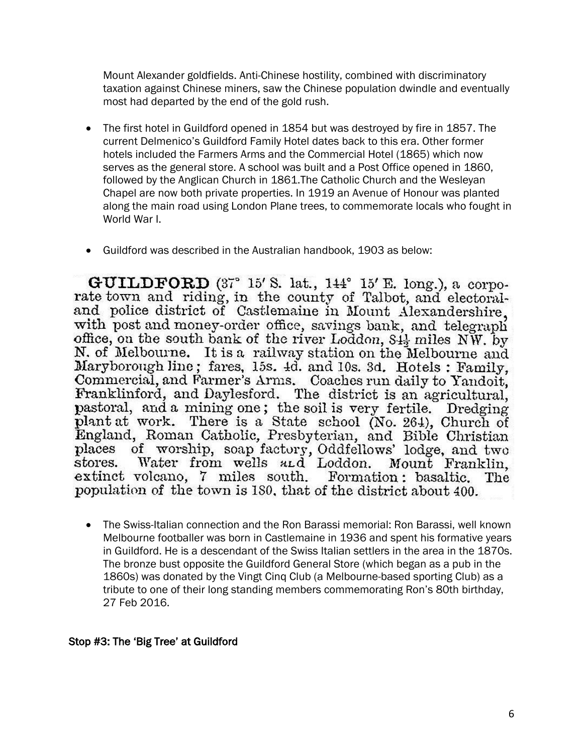Mount Alexander goldfields. Anti-Chinese hostility, combined with discriminatory taxation against Chinese miners, saw the Chinese population dwindle and eventually most had departed by the end of the gold rush.

- The first hotel in Guildford opened in 1854 but was destroyed by fire in 1857. The current Delmenico's Guildford Family Hotel dates back to this era. Other former hotels included the Farmers Arms and the Commercial Hotel (1865) which now serves as the general store. A school was built and a Post Office opened in 1860, followed by the Anglican Church in 1861.The Catholic Church and the Wesleyan Chapel are now both private properties. In 1919 an Avenue of Honour was planted along the main road using London Plane trees, to commemorate locals who fought in World War I.
- Guildford was described in the Australian handbook, 1903 as below:

GUILDFORD  $(37^{\circ}$  15' S. lat., 144° 15' E. long.), a corporate town and riding, in the county of Talbot, and electoraland police district of Castlemaine in Mount Alexandershire. with post and money-order office, savings bank, and telegraph office, on the south bank of the river Loddon, 84<sup>1</sup> miles NW. by N. of Melbourne. It is a railway station on the Melbourne and Maryborough line; fares, 15s. 4d. and 10s. 3d. Hotels: Family. Commercial, and Farmer's Arms. Coaches run daily to Yandoit, Franklinford, and Daylesford. The district is an agricultural, pastoral, and a mining one; the soil is very fertile. Dredging<br>plant at work. There is a State school (No. 264), Church of England, Roman Catholic, Presbyterian, and Bible Christian places of worship, soap factory, Oddfellows' lodge, and two Water from wells and Loddon. Mount Franklin, stores. extinct volcano, 7 miles south. Formation: basaltic. The population of the town is 180, that of the district about 400.

• The Swiss-Italian connection and the Ron Barassi memorial: Ron Barassi, well known Melbourne footballer was born in Castlemaine in 1936 and spent his formative years in Guildford. He is a descendant of the Swiss Italian settlers in the area in the 1870s. The bronze bust opposite the Guildford General Store (which began as a pub in the 1860s) was donated by the Vingt Cinq Club (a Melbourne-based sporting Club) as a tribute to one of their long standing members commemorating Ron's 80th birthday, 27 Feb 2016.

#### Stop #3: The 'Big Tree' at Guildford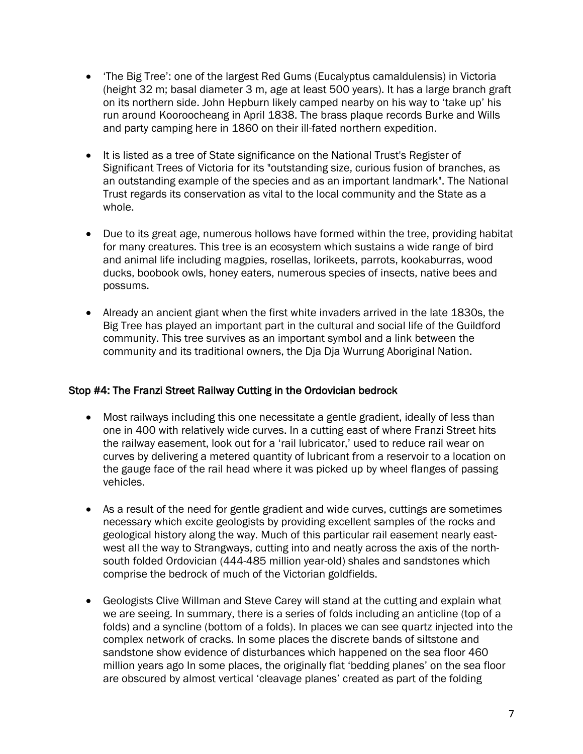- 'The Big Tree': one of the largest Red Gums (Eucalyptus camaldulensis) in Victoria (height 32 m; basal diameter 3 m, age at least 500 years). It has a large branch graft on its northern side. John Hepburn likely camped nearby on his way to 'take up' his run around Kooroocheang in April 1838. The brass plaque records Burke and Wills and party camping here in 1860 on their ill-fated northern expedition.
- It is listed as a tree of State significance on the National Trust's Register of Significant Trees of Victoria for its "outstanding size, curious fusion of branches, as an outstanding example of the species and as an important landmark". The National Trust regards its conservation as vital to the local community and the State as a whole.
- Due to its great age, numerous hollows have formed within the tree, providing habitat for many creatures. This tree is an ecosystem which sustains a wide range of bird and animal life including magpies, rosellas, lorikeets, parrots, kookaburras, wood ducks, boobook owls, honey eaters, numerous species of insects, native bees and possums.
- Already an ancient giant when the first white invaders arrived in the late 1830s, the Big Tree has played an important part in the cultural and social life of the Guildford community. This tree survives as an important symbol and a link between the community and its traditional owners, the Dja Dja Wurrung Aboriginal Nation.

## Stop #4: The Franzi Street Railway Cutting in the Ordovician bedrock

- Most railways including this one necessitate a gentle gradient, ideally of less than one in 400 with relatively wide curves. In a cutting east of where Franzi Street hits the railway easement, look out for a 'rail lubricator,' used to reduce rail wear on curves by delivering a metered quantity of lubricant from a reservoir to a location on the gauge face of the rail head where it was picked up by wheel flanges of passing vehicles.
- As a result of the need for gentle gradient and wide curves, cuttings are sometimes necessary which excite geologists by providing excellent samples of the rocks and geological history along the way. Much of this particular rail easement nearly eastwest all the way to Strangways, cutting into and neatly across the axis of the northsouth folded Ordovician (444-485 million year-old) shales and sandstones which comprise the bedrock of much of the Victorian goldfields.
- Geologists Clive Willman and Steve Carey will stand at the cutting and explain what we are seeing. In summary, there is a series of folds including an anticline (top of a folds) and a syncline (bottom of a folds). In places we can see quartz injected into the complex network of cracks. In some places the discrete bands of siltstone and sandstone show evidence of disturbances which happened on the sea floor 460 million years ago In some places, the originally flat 'bedding planes' on the sea floor are obscured by almost vertical 'cleavage planes' created as part of the folding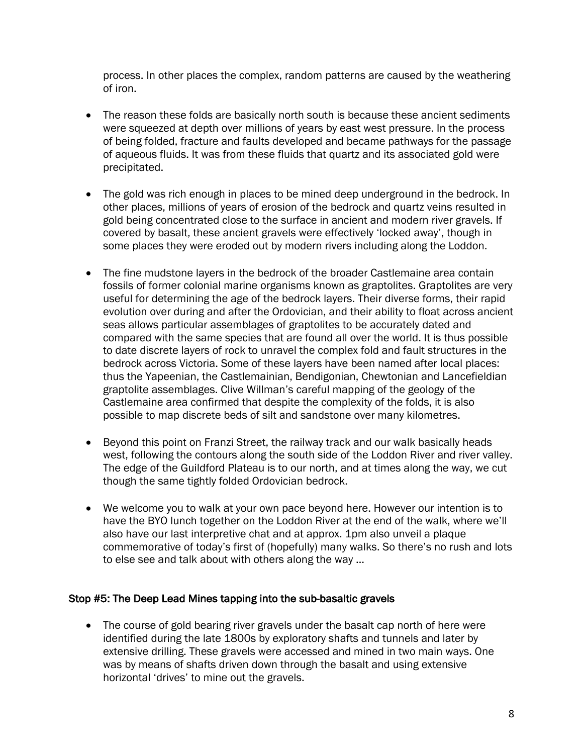process. In other places the complex, random patterns are caused by the weathering of iron.

- The reason these folds are basically north south is because these ancient sediments were squeezed at depth over millions of years by east west pressure. In the process of being folded, fracture and faults developed and became pathways for the passage of aqueous fluids. It was from these fluids that quartz and its associated gold were precipitated.
- The gold was rich enough in places to be mined deep underground in the bedrock. In other places, millions of years of erosion of the bedrock and quartz veins resulted in gold being concentrated close to the surface in ancient and modern river gravels. If covered by basalt, these ancient gravels were effectively 'locked away', though in some places they were eroded out by modern rivers including along the Loddon.
- The fine mudstone layers in the bedrock of the broader Castlemaine area contain fossils of former colonial marine organisms known as graptolites. Graptolites are very useful for determining the age of the bedrock layers. Their diverse forms, their rapid evolution over during and after the Ordovician, and their ability to float across ancient seas allows particular assemblages of graptolites to be accurately dated and compared with the same species that are found all over the world. It is thus possible to date discrete layers of rock to unravel the complex fold and fault structures in the bedrock across Victoria. Some of these layers have been named after local places: thus the Yapeenian, the Castlemainian, Bendigonian, Chewtonian and Lancefieldian graptolite assemblages. Clive Willman's careful mapping of the geology of the Castlemaine area confirmed that despite the complexity of the folds, it is also possible to map discrete beds of silt and sandstone over many kilometres.
- Beyond this point on Franzi Street, the railway track and our walk basically heads west, following the contours along the south side of the Loddon River and river valley. The edge of the Guildford Plateau is to our north, and at times along the way, we cut though the same tightly folded Ordovician bedrock.
- We welcome you to walk at your own pace beyond here. However our intention is to have the BYO lunch together on the Loddon River at the end of the walk, where we'll also have our last interpretive chat and at approx. 1pm also unveil a plaque commemorative of today's first of (hopefully) many walks. So there's no rush and lots to else see and talk about with others along the way …

#### Stop #5: The Deep Lead Mines tapping into the sub-basaltic gravels

• The course of gold bearing river gravels under the basalt cap north of here were identified during the late 1800s by exploratory shafts and tunnels and later by extensive drilling. These gravels were accessed and mined in two main ways. One was by means of shafts driven down through the basalt and using extensive horizontal 'drives' to mine out the gravels.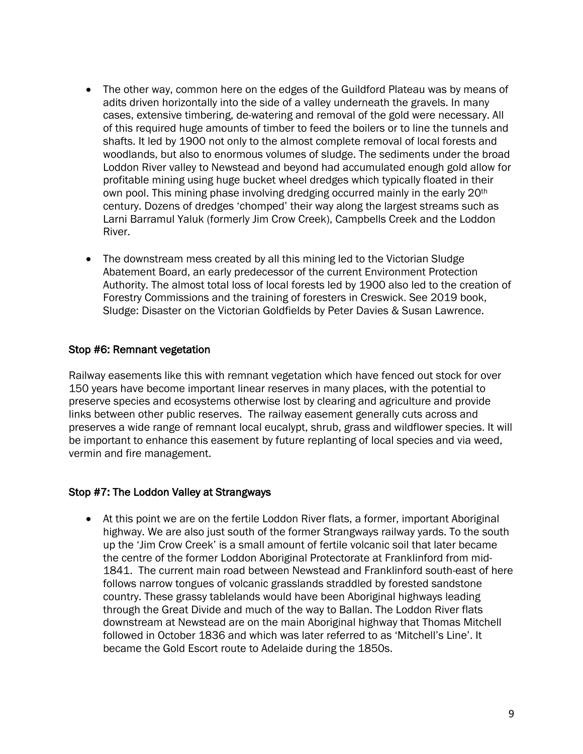- The other way, common here on the edges of the Guildford Plateau was by means of adits driven horizontally into the side of a valley underneath the gravels. In many cases, extensive timbering, de-watering and removal of the gold were necessary. All of this required huge amounts of timber to feed the boilers or to line the tunnels and shafts. It led by 1900 not only to the almost complete removal of local forests and woodlands, but also to enormous volumes of sludge. The sediments under the broad Loddon River valley to Newstead and beyond had accumulated enough gold allow for profitable mining using huge bucket wheel dredges which typically floated in their own pool. This mining phase involving dredging occurred mainly in the early 20<sup>th</sup> century. Dozens of dredges 'chomped' their way along the largest streams such as Larni Barramul Yaluk (formerly Jim Crow Creek), Campbells Creek and the Loddon River.
- The downstream mess created by all this mining led to the Victorian Sludge Abatement Board, an early predecessor of the current Environment Protection Authority. The almost total loss of local forests led by 1900 also led to the creation of Forestry Commissions and the training of foresters in Creswick. See 2019 book, Sludge: Disaster on the Victorian Goldfields by Peter Davies & Susan Lawrence.

## Stop #6: Remnant vegetation

Railway easements like this with remnant vegetation which have fenced out stock for over 150 years have become important linear reserves in many places, with the potential to preserve species and ecosystems otherwise lost by clearing and agriculture and provide links between other public reserves. The railway easement generally cuts across and preserves a wide range of remnant local eucalypt, shrub, grass and wildflower species. It will be important to enhance this easement by future replanting of local species and via weed, vermin and fire management.

#### Stop #7: The Loddon Valley at Strangways

• At this point we are on the fertile Loddon River flats, a former, important Aboriginal highway. We are also just south of the former Strangways railway yards. To the south up the 'Jim Crow Creek' is a small amount of fertile volcanic soil that later became the centre of the former Loddon Aboriginal Protectorate at Franklinford from mid-1841. The current main road between Newstead and Franklinford south-east of here follows narrow tongues of volcanic grasslands straddled by forested sandstone country. These grassy tablelands would have been Aboriginal highways leading through the Great Divide and much of the way to Ballan. The Loddon River flats downstream at Newstead are on the main Aboriginal highway that Thomas Mitchell followed in October 1836 and which was later referred to as 'Mitchell's Line'. It became the Gold Escort route to Adelaide during the 1850s.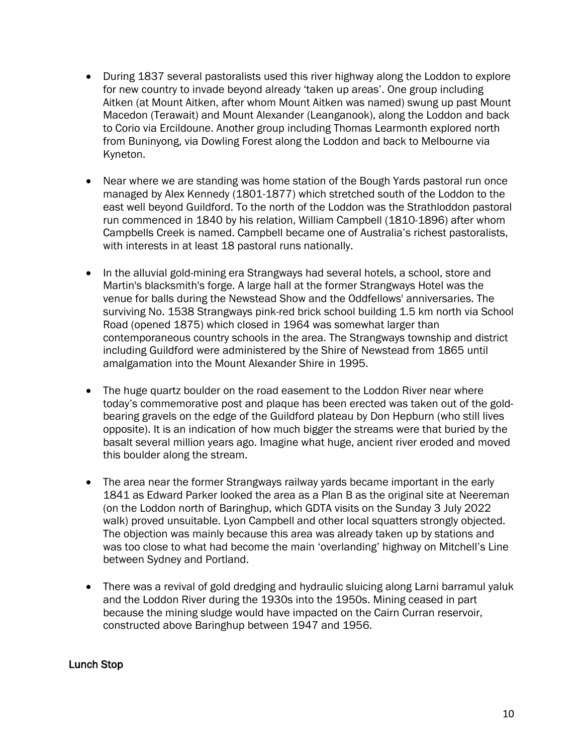- During 1837 several pastoralists used this river highway along the Loddon to explore for new country to invade beyond already 'taken up areas'. One group including Aitken (at Mount Aitken, after whom Mount Aitken was named) swung up past Mount Macedon (Terawait) and Mount Alexander (Leanganook), along the Loddon and back to Corio via Ercildoune. Another group including Thomas Learmonth explored north from Buninyong, via Dowling Forest along the Loddon and back to Melbourne via Kyneton.
- Near where we are standing was home station of the Bough Yards pastoral run once managed by Alex Kennedy (1801-1877) which stretched south of the Loddon to the east well beyond Guildford. To the north of the Loddon was the Strathloddon pastoral run commenced in 1840 by his relation, William Campbell (1810-1896) after whom Campbells Creek is named. Campbell became one of Australia's richest pastoralists, with interests in at least 18 pastoral runs nationally.
- In the alluvial gold-mining era Strangways had several hotels, a school, store and Martin's blacksmith's forge. A large hall at the former Strangways Hotel was the venue for balls during the Newstead Show and the Oddfellows' anniversaries. The surviving No. 1538 Strangways pink-red brick school building 1.5 km north via School Road (opened 1875) which closed in 1964 was somewhat larger than contemporaneous country schools in the area. The Strangways township and district including Guildford were administered by the Shire of Newstead from 1865 until amalgamation into the Mount Alexander Shire in 1995.
- The huge quartz boulder on the road easement to the Loddon River near where today's commemorative post and plaque has been erected was taken out of the goldbearing gravels on the edge of the Guildford plateau by Don Hepburn (who still lives opposite). It is an indication of how much bigger the streams were that buried by the basalt several million years ago. Imagine what huge, ancient river eroded and moved this boulder along the stream.
- The area near the former Strangways railway yards became important in the early 1841 as Edward Parker looked the area as a Plan B as the original site at Neereman (on the Loddon north of Baringhup, which GDTA visits on the Sunday 3 July 2022 walk) proved unsuitable. Lyon Campbell and other local squatters strongly objected. The objection was mainly because this area was already taken up by stations and was too close to what had become the main 'overlanding' highway on Mitchell's Line between Sydney and Portland.
- There was a revival of gold dredging and hydraulic sluicing along Larni barramul yaluk and the Loddon River during the 1930s into the 1950s. Mining ceased in part because the mining sludge would have impacted on the Cairn Curran reservoir, constructed above Baringhup between 1947 and 1956.

#### Lunch Stop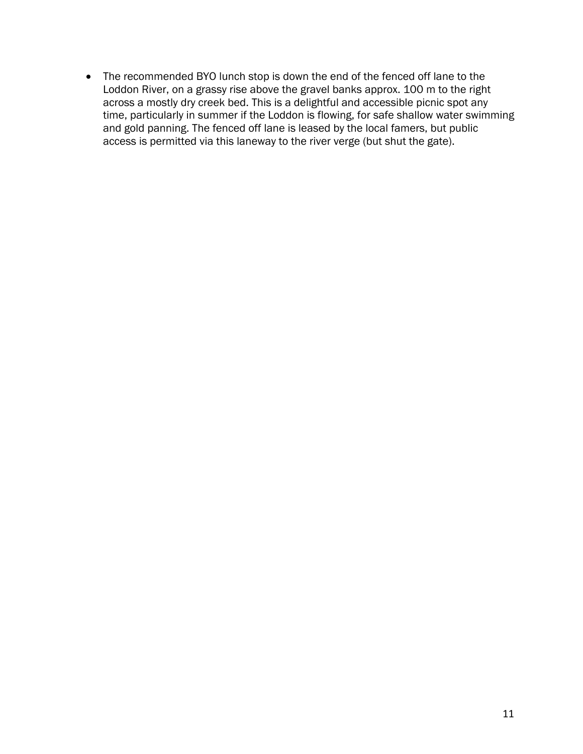• The recommended BYO lunch stop is down the end of the fenced off lane to the Loddon River, on a grassy rise above the gravel banks approx. 100 m to the right across a mostly dry creek bed. This is a delightful and accessible picnic spot any time, particularly in summer if the Loddon is flowing, for safe shallow water swimming and gold panning. The fenced off lane is leased by the local famers, but public access is permitted via this laneway to the river verge (but shut the gate).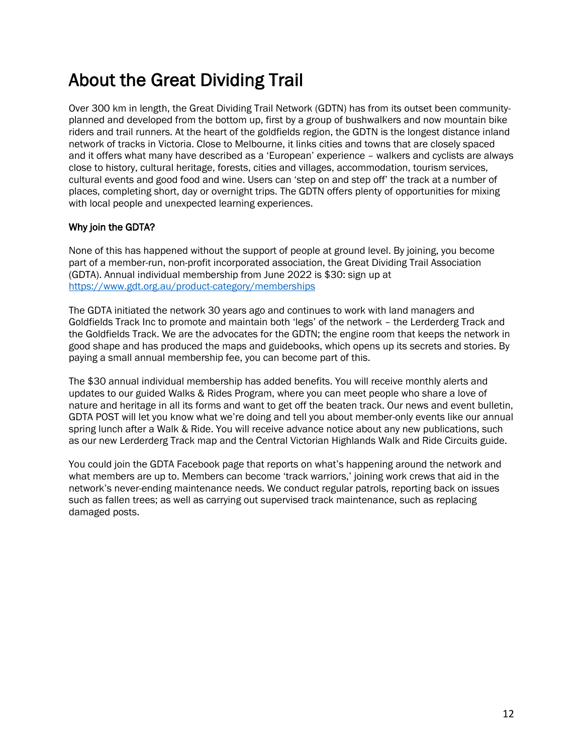# About the Great Dividing Trail

Over 300 km in length, the Great Dividing Trail Network (GDTN) has from its outset been communityplanned and developed from the bottom up, first by a group of bushwalkers and now mountain bike riders and trail runners. At the heart of the goldfields region, the GDTN is the longest distance inland network of tracks in Victoria. Close to Melbourne, it links cities and towns that are closely spaced and it offers what many have described as a 'European' experience – walkers and cyclists are always close to history, cultural heritage, forests, cities and villages, accommodation, tourism services, cultural events and good food and wine. Users can 'step on and step off' the track at a number of places, completing short, day or overnight trips. The GDTN offers plenty of opportunities for mixing with local people and unexpected learning experiences.

#### Why join the GDTA?

None of this has happened without the support of people at ground level. By joining, you become part of a member-run, non-profit incorporated association, the Great Dividing Trail Association (GDTA). Annual individual membership from June 2022 is \$30: sign up at https://www.gdt.org.au/product-category/memberships

The GDTA initiated the network 30 years ago and continues to work with land managers and Goldfields Track Inc to promote and maintain both 'legs' of the network – the Lerderderg Track and the Goldfields Track. We are the advocates for the GDTN; the engine room that keeps the network in good shape and has produced the maps and guidebooks, which opens up its secrets and stories. By paying a small annual membership fee, you can become part of this.

The \$30 annual individual membership has added benefits. You will receive monthly alerts and updates to our guided Walks & Rides Program, where you can meet people who share a love of nature and heritage in all its forms and want to get off the beaten track. Our news and event bulletin, GDTA POST will let you know what we're doing and tell you about member-only events like our annual spring lunch after a Walk & Ride. You will receive advance notice about any new publications, such as our new Lerderderg Track map and the Central Victorian Highlands Walk and Ride Circuits guide.

You could join the GDTA Facebook page that reports on what's happening around the network and what members are up to. Members can become 'track warriors,' joining work crews that aid in the network's never-ending maintenance needs. We conduct regular patrols, reporting back on issues such as fallen trees; as well as carrying out supervised track maintenance, such as replacing damaged posts.